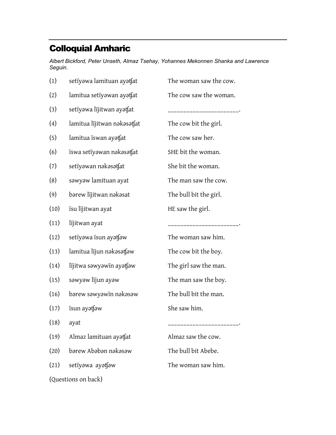## Colloquial Amharic

Albert Bickford, Peter Unseth, Almaz Tsehay, Yohannes Mekonnen Shanka and Lawrence Seguin.

| (1)                 | setïyəwa lamituan ayətfat   | The woman saw the cow. |
|---------------------|-----------------------------|------------------------|
| (2)                 | lamitua setiyawan ayatsat   | The cow saw the woman. |
| (3)                 | setïyəwa lijitwan ayətfat   |                        |
| $\left( 4\right)$   | lamitua lijitwan nəkəsətjat | The cow bit the girl.  |
| (5)                 | lamitua iswan ayatfat       | The cow saw her.       |
| (6)                 | ïswa setïyawan nakasatfat   | SHE bit the woman.     |
| (7)                 | setïyəwan nəkəsətfat        | She bit the woman.     |
| (8)                 | səwyəw lamituan ayat        | The man saw the cow.   |
| (9)                 | bərew lijitwan nəkəsat      | The bull bit the girl. |
| (10)                | ïsu lïjitwan ayat           | HE saw the girl.       |
| (11)                | lijitwan ayat               |                        |
| (12)                | setïyəwa isun ayətfəw       | The woman saw him.     |
| (13)                | lamitua lijun nəkəsətjəw    | The cow bit the boy.   |
| (14)                | lijitwa səwyəwin ayətjəw    | The girl saw the man.  |
| (15)                | səwyəw lijun ayəw           | The man saw the boy.   |
| (16)                | bərew səwyəwïn nəkəsəw      | The bull bit the man.  |
| (17)                | ïsun ayətfəw                | She saw him.           |
| (18)                | ayat                        |                        |
| (19)                | Almaz lamituan ayatfat      | Almaz saw the cow.     |
| (20)                | barew Ababan nakasaw        | The bull bit Abebe.    |
| (21)                | setïyawa ayatfaw            | The woman saw him.     |
| (Questions on back) |                             |                        |